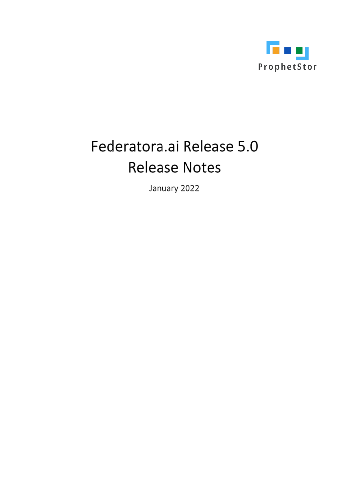

# Federatora.ai Release 5.0 **Release Notes**

January 2022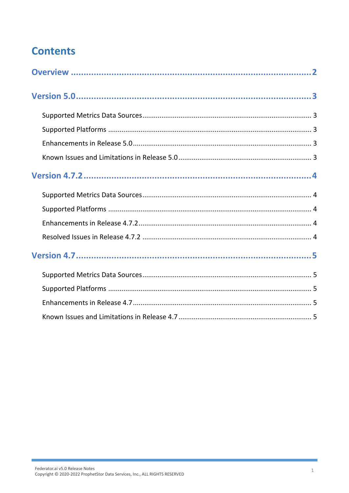# **Contents**

i.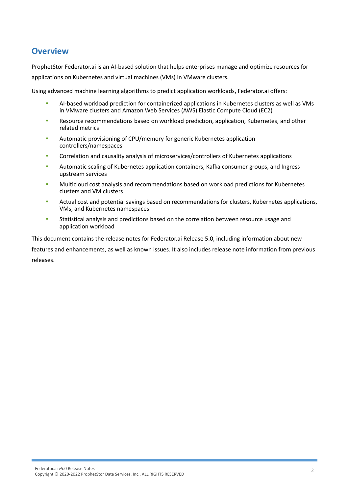### <span id="page-2-0"></span>**Overview**

ProphetStor Federator.ai is an AI-based solution that helps enterprises manage and optimize resources for applications on Kubernetes and virtual machines (VMs) in VMware clusters.

Using advanced machine learning algorithms to predict application workloads, Federator.ai offers:

- AI-based workload prediction for containerized applications in Kubernetes clusters as well as VMs in VMware clusters and Amazon Web Services (AWS) Elastic Compute Cloud (EC2)
- Resource recommendations based on workload prediction, application, Kubernetes, and other related metrics
- Automatic provisioning of CPU/memory for generic Kubernetes application controllers/namespaces
- Correlation and causality analysis of microservices/controllers of Kubernetes applications
- Automatic scaling of Kubernetes application containers, Kafka consumer groups, and Ingress upstream services
- Multicloud cost analysis and recommendations based on workload predictions for Kubernetes clusters and VM clusters
- Actual cost and potential savings based on recommendations for clusters, Kubernetes applications, VMs, and Kubernetes namespaces
- Statistical analysis and predictions based on the correlation between resource usage and application workload

This document contains the release notes for Federator.ai Release 5.0, including information about new features and enhancements, as well as known issues. It also includes release note information from previous releases.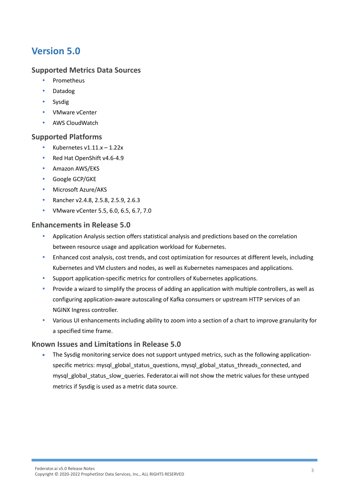# <span id="page-3-0"></span>**Version 5.0**

#### <span id="page-3-1"></span>**Supported Metrics Data Sources**

- Prometheus
- Datadog
- Sysdig
- VMware vCenter
- AWS CloudWatch

#### <span id="page-3-2"></span>**Supported Platforms**

- Kubernetes v1.11.x 1.22x
- Red Hat OpenShift v4.6-4.9
- **•** Amazon AWS/EKS
- Google GCP/GKE
- Microsoft Azure/AKS
- **Rancher v2.4.8, 2.5.8, 2.5.9, 2.6.3**
- VMware vCenter 5.5, 6.0, 6.5, 6.7, 7.0

#### <span id="page-3-3"></span>**Enhancements in Release 5.0**

- Application Analysis section offers statistical analysis and predictions based on the correlation between resource usage and application workload for Kubernetes.
- Enhanced cost analysis, cost trends, and cost optimization for resources at different levels, including Kubernetes and VM clusters and nodes, as well as Kubernetes namespaces and applications.
- Support application-specific metrics for controllers of Kubernetes applications.
- Provide a wizard to simplify the process of adding an application with multiple controllers, as well as configuring application-aware autoscaling of Kafka consumers or upstream HTTP services of an NGINX Ingress controller.
- Various UI enhancements including ability to zoom into a section of a chart to improve granularity for a specified time frame.

#### <span id="page-3-4"></span>**Known Issues and Limitations in Release 5.0**

The Sysdig monitoring service does not support untyped metrics, such as the following applicationspecific metrics: mysql\_global\_status\_questions, mysql\_global\_status\_threads\_connected, and mysql\_global\_status\_slow\_queries. Federator.ai will not show the metric values for these untyped metrics if Sysdig is used as a metric data source.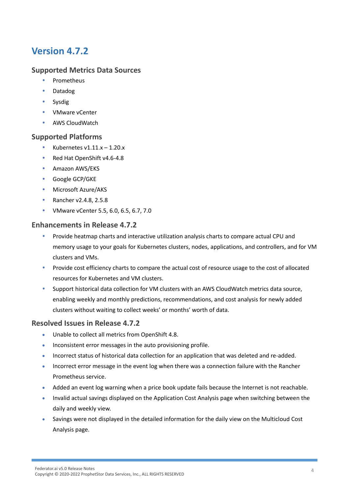# <span id="page-4-0"></span>**Version 4.7.2**

#### <span id="page-4-1"></span>**Supported Metrics Data Sources**

- Prometheus
- Datadog
- Sysdig
- VMware vCenter
- AWS CloudWatch

#### <span id="page-4-2"></span>**Supported Platforms**

- Kubernetes v1.11.x 1.20.x
- Red Hat OpenShift v4.6-4.8
- **•** Amazon AWS/EKS
- Google GCP/GKE
- Microsoft Azure/AKS
- Rancher v2.4.8, 2.5.8
- VMware vCenter 5.5, 6.0, 6.5, 6.7, 7.0

#### <span id="page-4-3"></span>**Enhancements in Release 4.7.2**

- Provide heatmap charts and interactive utilization analysis charts to compare actual CPU and memory usage to your goals for Kubernetes clusters, nodes, applications, and controllers, and for VM clusters and VMs.
- Provide cost efficiency charts to compare the actual cost of resource usage to the cost of allocated resources for Kubernetes and VM clusters.
- Support historical data collection for VM clusters with an AWS CloudWatch metrics data source, enabling weekly and monthly predictions, recommendations, and cost analysis for newly added clusters without waiting to collect weeks' or months' worth of data.

#### <span id="page-4-4"></span>**Resolved Issues in Release 4.7.2**

- Unable to collect all metrics from OpenShift 4.8.
- Inconsistent error messages in the auto provisioning profile.
- Incorrect status of historical data collection for an application that was deleted and re-added.
- Incorrect error message in the event log when there was a connection failure with the Rancher Prometheus service.
- Added an event log warning when a price book update fails because the Internet is not reachable.
- Invalid actual savings displayed on the Application Cost Analysis page when switching between the daily and weekly view.
- Savings were not displayed in the detailed information for the daily view on the Multicloud Cost Analysis page.